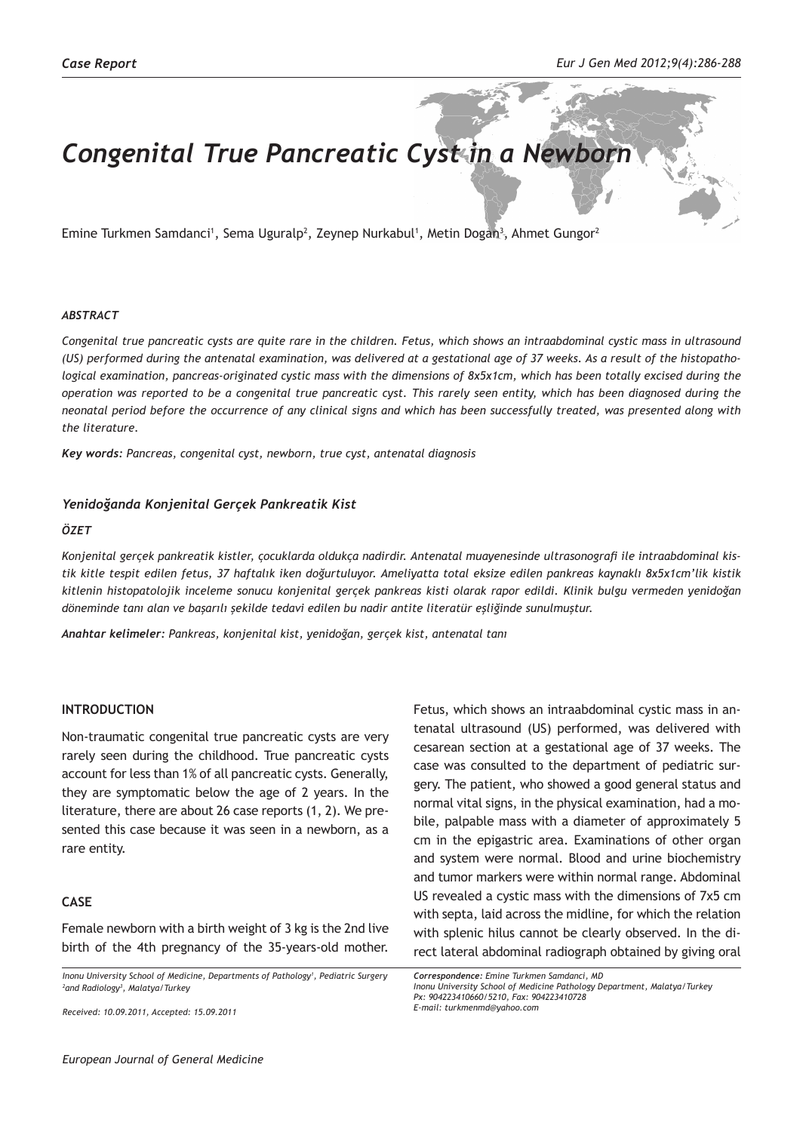# *Congenital True Pancreatic Cyst in a Newborn*

Emine Turkmen Samdanci<sup>1</sup>, Sema Uguralp<sup>2</sup>, Zeynep Nurkabul<sup>1</sup>, Metin Dogan<sup>3</sup>, Ahmet Gungor<sup>2</sup>

#### *ABSTRACT*

*Congenital true pancreatic cysts are quite rare in the children. Fetus, which shows an intraabdominal cystic mass in ultrasound (US) performed during the antenatal examination, was delivered at a gestational age of 37 weeks. As a result of the histopathological examination, pancreas-originated cystic mass with the dimensions of 8x5x1cm, which has been totally excised during the operation was reported to be a congenital true pancreatic cyst. This rarely seen entity, which has been diagnosed during the neonatal period before the occurrence of any clinical signs and which has been successfully treated, was presented along with the literature.*

*Key words: Pancreas, congenital cyst, newborn, true cyst, antenatal diagnosis*

#### *Yenidoğanda Konjenital Gerçek Pankreatik Kist*

#### *ÖZET*

*Konjenital gerçek pankreatik kistler, çocuklarda oldukça nadirdir. Antenatal muayenesinde ultrasonografi ile intraabdominal kistik kitle tespit edilen fetus, 37 haftalık iken doğurtuluyor. Ameliyatta total eksize edilen pankreas kaynaklı 8x5x1cm'lik kistik kitlenin histopatolojik inceleme sonucu konjenital gerçek pankreas kisti olarak rapor edildi. Klinik bulgu vermeden yenidoğan döneminde tanı alan ve başarılı şekilde tedavi edilen bu nadir antite literatür eşliğinde sunulmuştur.*

*Anahtar kelimeler: Pankreas, konjenital kist, yenidoğan, gerçek kist, antenatal tanı*

#### **INTRODUCTION**

Non-traumatic congenital true pancreatic cysts are very rarely seen during the childhood. True pancreatic cysts account for less than 1% of all pancreatic cysts. Generally, they are symptomatic below the age of 2 years. In the literature, there are about 26 case reports (1, 2). We presented this case because it was seen in a newborn, as a rare entity.

## **CASE**

Female newborn with a birth weight of 3 kg is the 2nd live birth of the 4th pregnancy of the 35-years-old mother.

*Inonu University School of Medicine, Departments of Pathology1 , Pediatric Surgery 2 and Radiology3 , Malatya/Turkey*

tenatal ultrasound (US) performed, was delivered with cesarean section at a gestational age of 37 weeks. The case was consulted to the department of pediatric surgery. The patient, who showed a good general status and normal vital signs, in the physical examination, had a mobile, palpable mass with a diameter of approximately 5 cm in the epigastric area. Examinations of other organ and system were normal. Blood and urine biochemistry and tumor markers were within normal range. Abdominal US revealed a cystic mass with the dimensions of 7x5 cm with septa, laid across the midline, for which the relation with splenic hilus cannot be clearly observed. In the direct lateral abdominal radiograph obtained by giving oral

Fetus, which shows an intraabdominal cystic mass in an-

*Received: 10.09.2011, Accepted: 15.09.2011*

*Correspondence: Emine Turkmen Samdanci, MD Inonu University School of Medicine Pathology Department, Malatya/Turkey Px: 904223410660/5210, Fax: 904223410728 E-mail: turkmenmd@yahoo.com*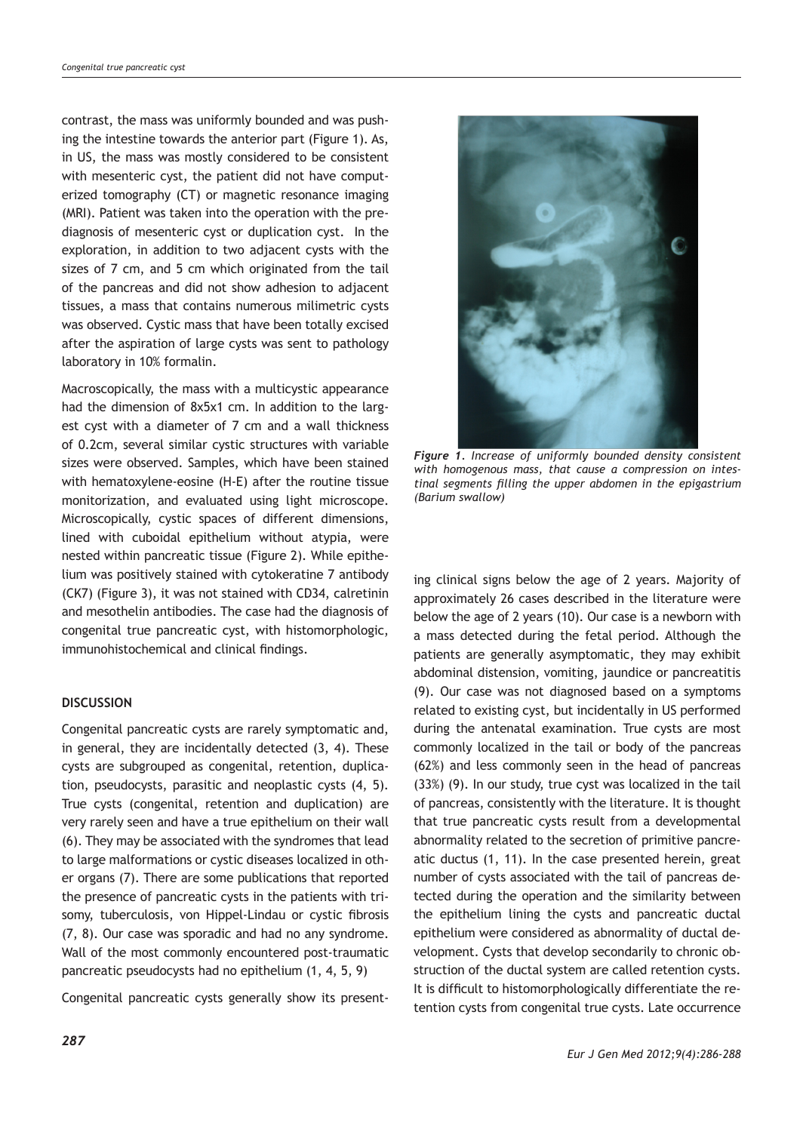contrast, the mass was uniformly bounded and was pushing the intestine towards the anterior part (Figure 1). As, in US, the mass was mostly considered to be consistent with mesenteric cyst, the patient did not have computerized tomography (CT) or magnetic resonance imaging (MRI). Patient was taken into the operation with the prediagnosis of mesenteric cyst or duplication cyst. In the exploration, in addition to two adjacent cysts with the sizes of 7 cm, and 5 cm which originated from the tail of the pancreas and did not show adhesion to adjacent tissues, a mass that contains numerous milimetric cysts was observed. Cystic mass that have been totally excised after the aspiration of large cysts was sent to pathology laboratory in 10% formalin.

Macroscopically, the mass with a multicystic appearance had the dimension of 8x5x1 cm. In addition to the largest cyst with a diameter of 7 cm and a wall thickness of 0.2cm, several similar cystic structures with variable sizes were observed. Samples, which have been stained with hematoxylene-eosine (H-E) after the routine tissue monitorization, and evaluated using light microscope. Microscopically, cystic spaces of different dimensions, lined with cuboidal epithelium without atypia, were nested within pancreatic tissue (Figure 2). While epithelium was positively stained with cytokeratine 7 antibody (CK7) (Figure 3), it was not stained with CD34, calretinin and mesothelin antibodies. The case had the diagnosis of congenital true pancreatic cyst, with histomorphologic, immunohistochemical and clinical findings.

# **DISCUSSION**

Congenital pancreatic cysts are rarely symptomatic and, in general, they are incidentally detected (3, 4). These cysts are subgrouped as congenital, retention, duplication, pseudocysts, parasitic and neoplastic cysts (4, 5). True cysts (congenital, retention and duplication) are very rarely seen and have a true epithelium on their wall (6). They may be associated with the syndromes that lead to large malformations or cystic diseases localized in other organs (7). There are some publications that reported the presence of pancreatic cysts in the patients with trisomy, tuberculosis, von Hippel-Lindau or cystic fibrosis (7, 8). Our case was sporadic and had no any syndrome. Wall of the most commonly encountered post-traumatic pancreatic pseudocysts had no epithelium (1, 4, 5, 9)

Congenital pancreatic cysts generally show its present-



*Figure 1. Increase of uniformly bounded density consistent with homogenous mass, that cause a compression on intestinal segments filling the upper abdomen in the epigastrium (Barium swallow)* 

ing clinical signs below the age of 2 years. Majority of approximately 26 cases described in the literature were below the age of 2 years (10). Our case is a newborn with a mass detected during the fetal period. Although the patients are generally asymptomatic, they may exhibit abdominal distension, vomiting, jaundice or pancreatitis (9). Our case was not diagnosed based on a symptoms related to existing cyst, but incidentally in US performed during the antenatal examination. True cysts are most commonly localized in the tail or body of the pancreas (62%) and less commonly seen in the head of pancreas (33%) (9). In our study, true cyst was localized in the tail of pancreas, consistently with the literature. It is thought that true pancreatic cysts result from a developmental abnormality related to the secretion of primitive pancreatic ductus (1, 11). In the case presented herein, great number of cysts associated with the tail of pancreas detected during the operation and the similarity between the epithelium lining the cysts and pancreatic ductal epithelium were considered as abnormality of ductal development. Cysts that develop secondarily to chronic obstruction of the ductal system are called retention cysts. It is difficult to histomorphologically differentiate the retention cysts from congenital true cysts. Late occurrence